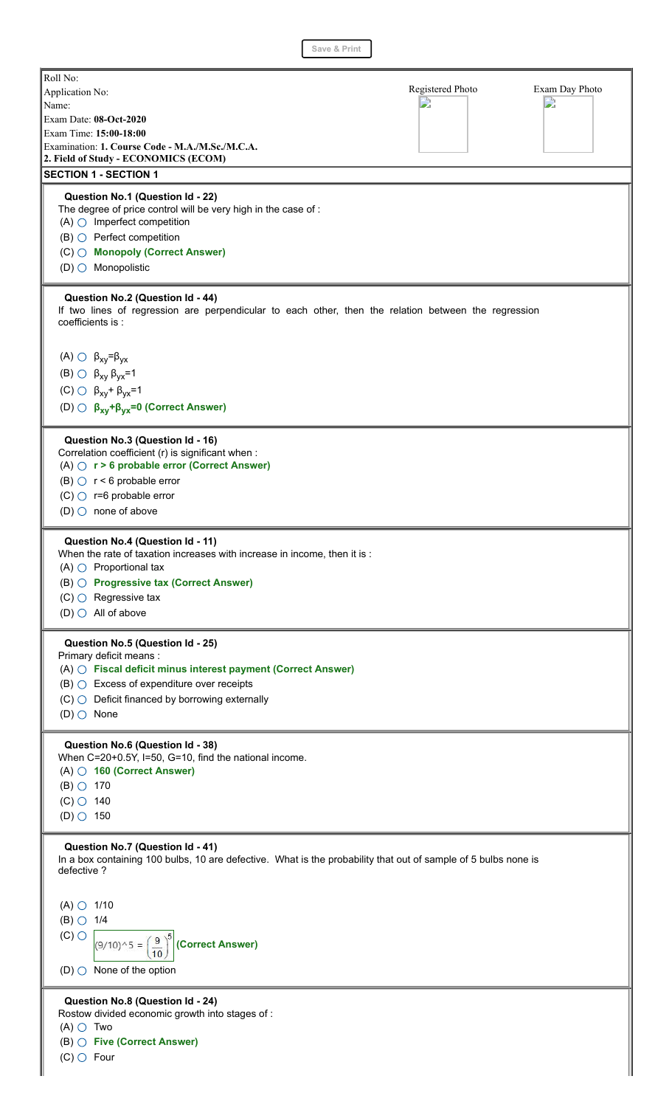Roll No: Registered Photo Exam Day Photo Application No: D D Name: Exam Date: **08-Oct-2020** Exam Time: **15:00-18:00** Examination: **1. Course Code - M.A./M.Sc./M.C.A. 2. Field of Study - ECONOMICS (ECOM) SECTION 1 - SECTION 1 Question No.1 (Question Id - 22)** The degree of price control will be very high in the case of :  $(A)$   $\bigcirc$  Imperfect competition  $(B)$   $\bigcirc$  Perfect competition (C) **Monopoly (Correct Answer)**  $(D)$  Monopolistic **Question No.2 (Question Id - 44)** If two lines of regression are perpendicular to each other, then the relation between the regression coefficients is : (A)  $\bigcirc$  β<sub>xy</sub>=β<sub>yx</sub> (B)  $\bigcirc$  β<sub>xy</sub> β<sub>yx</sub>=1 (C)  $\bigcirc$  β<sub>xy</sub>+ β<sub>yx</sub>=1 (D) **βxy+βyx=0 (Correct Answer) Question No.3 (Question Id - 16)** Correlation coefficient (r) is significant when : (A) **r > 6 probable error (Correct Answer)** (B)  $\bigcirc$  r < 6 probable error  $(C)$   $\bigcirc$  r=6 probable error  $(D)$  none of above **Question No.4 (Question Id - 11)** When the rate of taxation increases with increase in income, then it is :  $(A)$   $\bigcirc$  Proportional tax (B) **Progressive tax (Correct Answer)**  $(C)$   $\bigcirc$  Regressive tax  $(D)$  All of above **Question No.5 (Question Id - 25)** Primary deficit means : (A) **Fiscal deficit minus interest payment (Correct Answer)**  $(B)$   $\bigcirc$  Excess of expenditure over receipts  $(C)$  Deficit financed by borrowing externally  $(D)$  None **Question No.6 (Question Id - 38)** When C=20+0.5Y, I=50, G=10, find the national income. (A) **160 (Correct Answer)**  $(B)$   $\circ$  170  $(C)$  140  $(D)$  150 **Question No.7 (Question Id - 41)** In a box containing 100 bulbs, 10 are defective. What is the probability that out of sample of 5 bulbs none is defective ?  $(A)$   $\bigcirc$  1/10  $(B)$   $\bigcirc$  1/4  $(C)$   $\bigcirc$  $(9/10)^{^{1}} 5 = \left(\frac{9}{10}\right)^{5}$  (Correct Answer)  $(D)$  None of the option **Question No.8 (Question Id - 24)** Rostow divided economic growth into stages of :  $(A)$   $\bigcirc$  Two (B) **Five (Correct Answer)**

 $(C)$  Four

**Save & Print**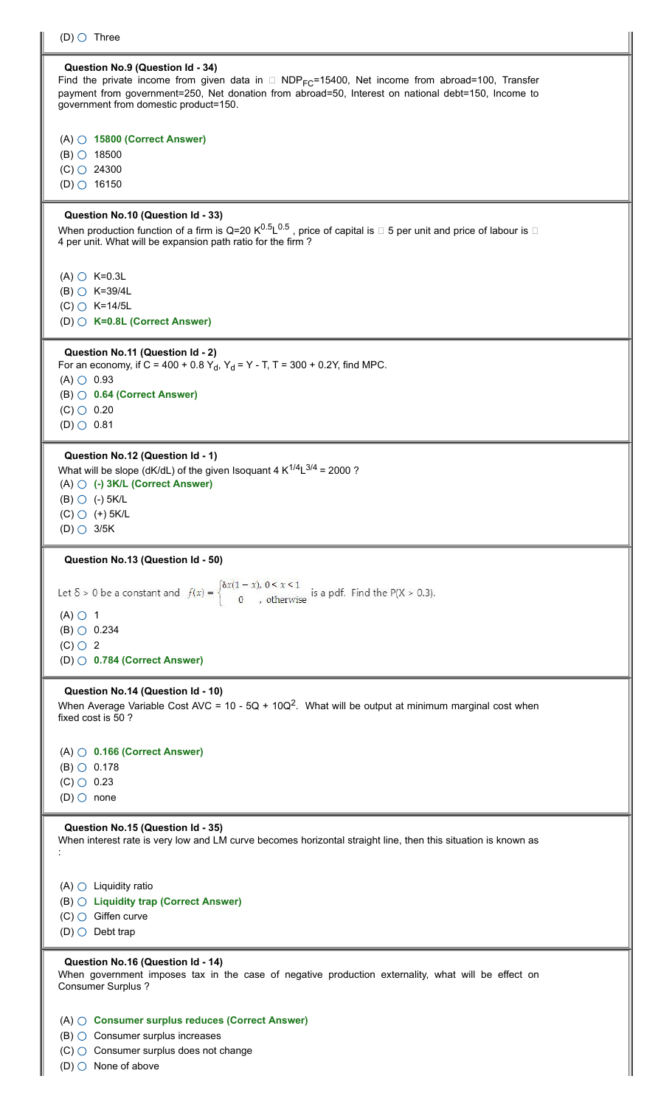| (D) $\bigcirc$ Three                                                                                                                                                                                                                                                                                |
|-----------------------------------------------------------------------------------------------------------------------------------------------------------------------------------------------------------------------------------------------------------------------------------------------------|
| Question No.9 (Question Id - 34)<br>Find the private income from given data in $\Box$ NDP <sub>FC</sub> =15400, Net income from abroad=100, Transfer<br>payment from government=250, Net donation from abroad=50, Interest on national debt=150, Income to<br>government from domestic product=150. |
| $(A)$ $\bigcirc$ 15800 (Correct Answer)<br>$(B)$ $\circ$ 18500<br>$(C)$ $\bigcirc$ 24300<br>$(D)$ $O$ 16150                                                                                                                                                                                         |
| Question No.10 (Question Id - 33)<br>When production function of a firm is Q=20 $K^{0.5}L^{0.5}$ , price of capital is $\Box$ 5 per unit and price of labour is $\Box$<br>4 per unit. What will be expansion path ratio for the firm?                                                               |
| $(A)$ $\bigcirc$ K=0.3L<br>$(B)$ $\bigcirc$ K=39/4L<br>$(C)$ $C$ K=14/5L<br>(D) $\bigcirc$ K=0.8L (Correct Answer)                                                                                                                                                                                  |
| Question No.11 (Question Id - 2)<br>For an economy, if C = 400 + 0.8 Y <sub>d</sub> , Y <sub>d</sub> = Y - T, T = 300 + 0.2Y, find MPC.<br>$(A)$ $\circ$ 0.93<br>$(B)$ $\bigcirc$ 0.64 (Correct Answer)<br>$(C)$ $\circ$ 0.20<br>$(D)$ $\circ$ 0.81                                                 |
| Question No.12 (Question Id - 1)<br>What will be slope (dK/dL) of the given Isoquant 4 $K^{1/4}L^{3/4} = 2000$ ?<br>$(A)$ $\bigcirc$ $(A)$ 3K/L (Correct Answer)<br>$(B)$ $\bigcirc$ $(-)$ 5K/L<br>$(C)$ $\bigcirc$ $(+)$ 5K/L<br>$(D)$ $\bigcirc$ 3/5K                                             |
|                                                                                                                                                                                                                                                                                                     |
| Question No.13 (Question Id - 50)                                                                                                                                                                                                                                                                   |
| Let $\delta > 0$ be a constant and $f(x) = \begin{cases} \delta x(1-x), & 0 < x < 1 \\ 0, & \text{otherwise} \end{cases}$ is a pdf. Find the P(X > 0.3).<br>$(A)$ $\bigcirc$ 1<br>$(B)$ $\bigcirc$ 0.234<br>$(C)$ $\bigcirc$ 2<br>$(D)$ 0.784 (Correct Answer)                                      |
| Question No.14 (Question Id - 10)<br>When Average Variable Cost AVC = 10 - 5Q + 10Q <sup>2</sup> . What will be output at minimum marginal cost when<br>fixed cost is 50 ?                                                                                                                          |
| $(A)$ $\bigcirc$ 0.166 (Correct Answer)<br>$(B)$ $\bigcirc$ 0.178<br>$(C)$ $\circ$ 0.23<br>$(D)$ one                                                                                                                                                                                                |
| Question No.15 (Question Id - 35)<br>When interest rate is very low and LM curve becomes horizontal straight line, then this situation is known as                                                                                                                                                  |
| $(A)$ $\bigcirc$ Liquidity ratio<br>(B) O Liquidity trap (Correct Answer)<br>$(C)$ Giffen curve<br>$(D)$ $\bigcirc$ Debt trap                                                                                                                                                                       |
| Question No.16 (Question Id - 14)<br>When government imposes tax in the case of negative production externality, what will be effect on<br>Consumer Surplus ?                                                                                                                                       |

Ш

 $(D)$  None of above

I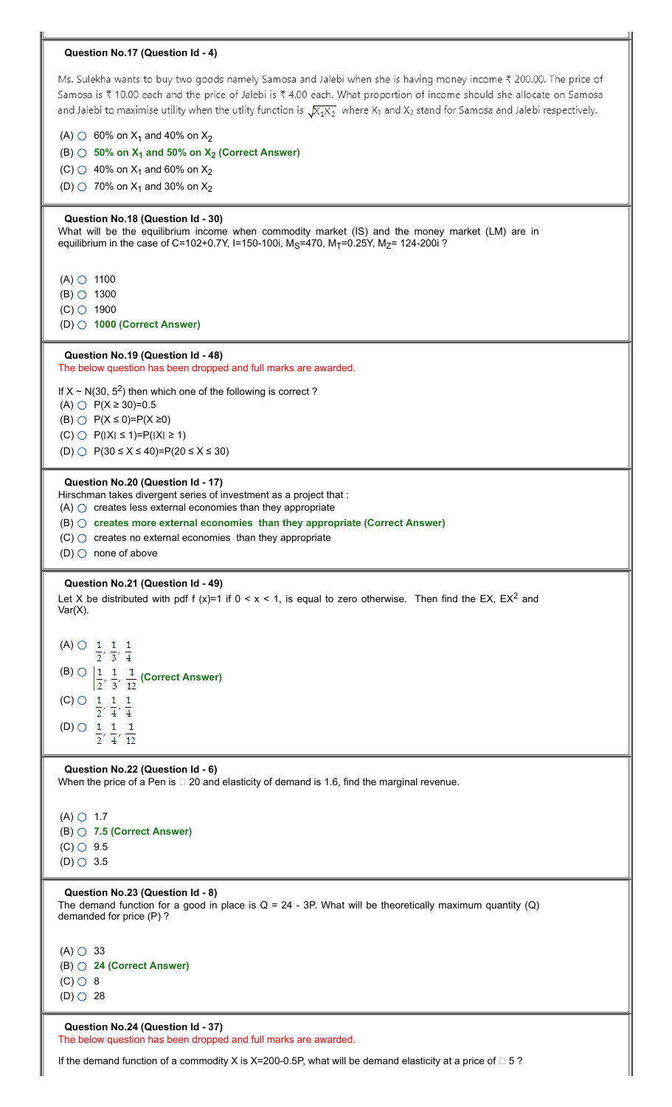## **Question No.17 (Question Id - 4)**

Ms. Sulekha wants to buy two goods namely Samosa and Jalebi when she is having money income ₹ 200.00. The price of Samosa is ₹ 10.00 each and the price of Jalebi is ₹ 4.00 each. What proportion of income should she allocate on Samosa and Jalebi to maximise utility when the utlity function is  $\sqrt{X_1X_2}$  where  $X_1$  and  $X_2$  stand for Samosa and Jalebi respectively.

(A)  $\circlearrowright$  60% on X<sub>1</sub> and 40% on X<sub>2</sub>

(B) **50% on X<sup>1</sup> and 50% on X<sup>2</sup> (Correct Answer)**

(C)  $\bigcirc$  40% on X<sub>1</sub> and 60% on X<sub>2</sub>

(D)  $\circlearrowright$  70% on X<sub>1</sub> and 30% on X<sub>2</sub>

### **Question No.18 (Question Id - 30)**

What will be the equilibrium income when commodity market (IS) and the money market (LM) are in equilibrium in the case of C=102+0.7Y, I=150-100i, M<sub>S</sub>=470, M<sub>T</sub>=0.25Y, M<sub>Z</sub>= 124-200i<sup>2</sup>

 $(A)$   $\bigcirc$  1100

 $(B)$   $\circ$  1300

 $(C)$  1900 (D) **1000 (Correct Answer)**

### **Question No.19 (Question Id - 48)**

The below question has been dropped and full marks are awarded.

If  $X \sim N(30, 5^2)$  then which one of the following is correct ?

(A) ○ P(X ≥ 30)=0.5

(B)  $\bigcirc$  P(X \le 0)=P(X \le 20)

 $(C)$   $\bigcirc$   $P(|X| \le 1) = P(|X| \ge 1)$ 

(D) ○ P(30 ≤ X ≤ 40)=P(20 ≤ X ≤ 30)

#### **Question No.20 (Question Id - 17)**

Hirschman takes divergent series of investment as a project that :

 $(A)$   $\bigcirc$  creates less external economies than they appropriate

(B) **creates more external economies than they appropriate (Correct Answer)**

- $(C)$   $\bigcirc$  creates no external economies than they appropriate
- (D)  $\bigcirc$  none of above

#### **Question No.21 (Question Id - 49)**

Let X be distributed with pdf f (x)=1 if  $0 < x < 1$ , is equal to zero otherwise. Then find the EX, EX<sup>2</sup> and Var(X).

(A)  $\bigcirc$   $\frac{1}{2}, \frac{1}{3}, \frac{1}{4}$  $\overline{4}$ (B)  $\bigcirc$   $\frac{1}{2}, \frac{1}{3}, \frac{1}{12}$  (Correct Answer)  $(C)$   $\bigcirc$   $1$   $1$  $\mathbf{1}$  $\frac{1}{2}, \frac{1}{4}, \frac{1}{4}$ (D)  $\frac{1}{2}, \frac{1}{4}, \frac{1}{12}$ 

#### **Question No.22 (Question Id - 6)**

When the price of a Pen is  $\Box$  20 and elasticity of demand is 1.6, find the marginal revenue.

 $(A)$   $\bigcirc$  1.7 (B) **7.5 (Correct Answer)**  $(C)$   $\circ$  9.5  $(D)$  3.5

#### **Question No.23 (Question Id - 8)**

The demand function for a good in place is  $Q = 24 - 3P$ . What will be theoretically maximum quantity (Q) demanded for price (P) ?

 $(A)$   $\bigcirc$  33 (B) **24 (Correct Answer)**  $(C)$   $\circ$  8  $(D)$  28

# **Question No.24 (Question Id - 37)**

The below question has been dropped and full marks are awarded.

If the demand function of a commodity X is X=200-0.5P, what will be demand elasticity at a price of  $\Box$  5 ?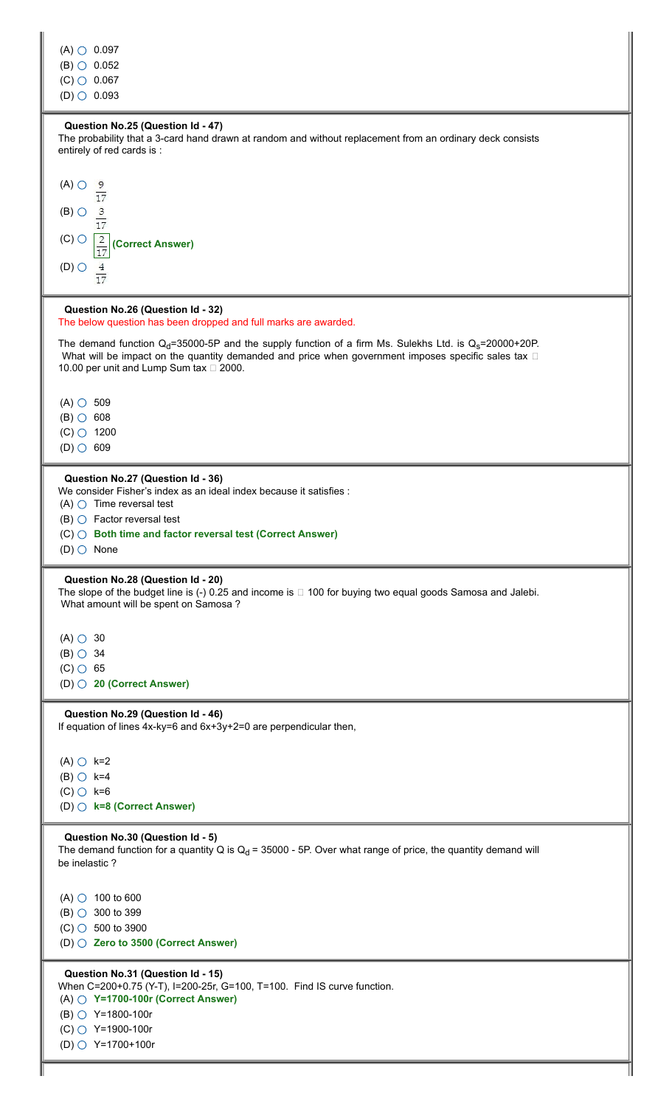| $(A)$ $\circ$ 0.097<br>$(B)$ $\circ$ 0.052<br>$(C)$ $\bigcirc$ 0.067<br>$(D)$ $\bigcirc$ 0.093                                                                                                                                                                                            |
|-------------------------------------------------------------------------------------------------------------------------------------------------------------------------------------------------------------------------------------------------------------------------------------------|
| Question No.25 (Question Id - 47)<br>The probability that a 3-card hand drawn at random and without replacement from an ordinary deck consists<br>entirely of red cards is :                                                                                                              |
| $(A)$ $\bigcirc$<br>$rac{9}{17}$<br>$\frac{3}{17}$<br>$(B)$ $\bigcirc$<br>$(C)$ $\bigcirc$<br>$\frac{2}{17}$<br>(Correct Answer)<br>$\frac{4}{17}$<br>$(D)$ $\bigcirc$                                                                                                                    |
| Question No.26 (Question Id - 32)<br>The below question has been dropped and full marks are awarded.                                                                                                                                                                                      |
| The demand function $Q_d$ =35000-5P and the supply function of a firm Ms. Sulekhs Ltd. is $Q_s$ =20000+20P.<br>What will be impact on the quantity demanded and price when government imposes specific sales tax $\square$<br>10.00 per unit and Lump Sum tax $\Box$ 2000.                |
| $(A)$ $\circ$ 509<br>$(B)$ $\circ$ 608                                                                                                                                                                                                                                                    |
| $(C)$ $\circ$ 1200<br>$(D)$ 609                                                                                                                                                                                                                                                           |
| Question No.27 (Question Id - 36)<br>We consider Fisher's index as an ideal index because it satisfies :<br>$(A)$ $\bigcirc$ Time reversal test<br>$(B)$ $\bigcirc$ Factor reversal test<br>$(C)$ $\bigcirc$ Both time and factor reversal test (Correct Answer)<br>$(D)$ $\bigcirc$ None |
| Question No.28 (Question Id - 20)<br>The slope of the budget line is $(-)$ 0.25 and income is $\Box$ 100 for buying two equal goods Samosa and Jalebi.<br>What amount will be spent on Samosa?                                                                                            |
| $(A)$ $\bigcirc$ 30<br>$(B)$ $\bigcirc$ 34<br>$(C)$ 65<br>$(D)$ 20 (Correct Answer)                                                                                                                                                                                                       |
| Question No.29 (Question Id - 46)<br>If equation of lines 4x-ky=6 and 6x+3y+2=0 are perpendicular then,                                                                                                                                                                                   |
| $(A)$ $\bigcirc$ k=2<br>$(B)$ $\bigcirc$ k=4<br>$(C)$ $C$ k=6<br>$(D)$ $\bigcirc$ k=8 (Correct Answer)                                                                                                                                                                                    |
| Question No.30 (Question Id - 5)<br>The demand function for a quantity Q is $Q_d$ = 35000 - 5P. Over what range of price, the quantity demand will<br>be inelastic?                                                                                                                       |
| (A) $\circ$ 100 to 600<br>(B) $\bigcirc$ 300 to 399<br>$(C)$ 500 to 3900<br>(D) $\bigcirc$ Zero to 3500 (Correct Answer)                                                                                                                                                                  |
| Question No.31 (Question Id - 15)<br>When C=200+0.75 (Y-T), I=200-25r, G=100, T=100. Find IS curve function.<br>$(A)$ $\bigcirc$ Y=1700-100r (Correct Answer)<br>(B) $\bigcirc$ Y=1800-100r<br>(C) ○ Y=1900-100r<br>(D) ○ Y=1700+100r                                                     |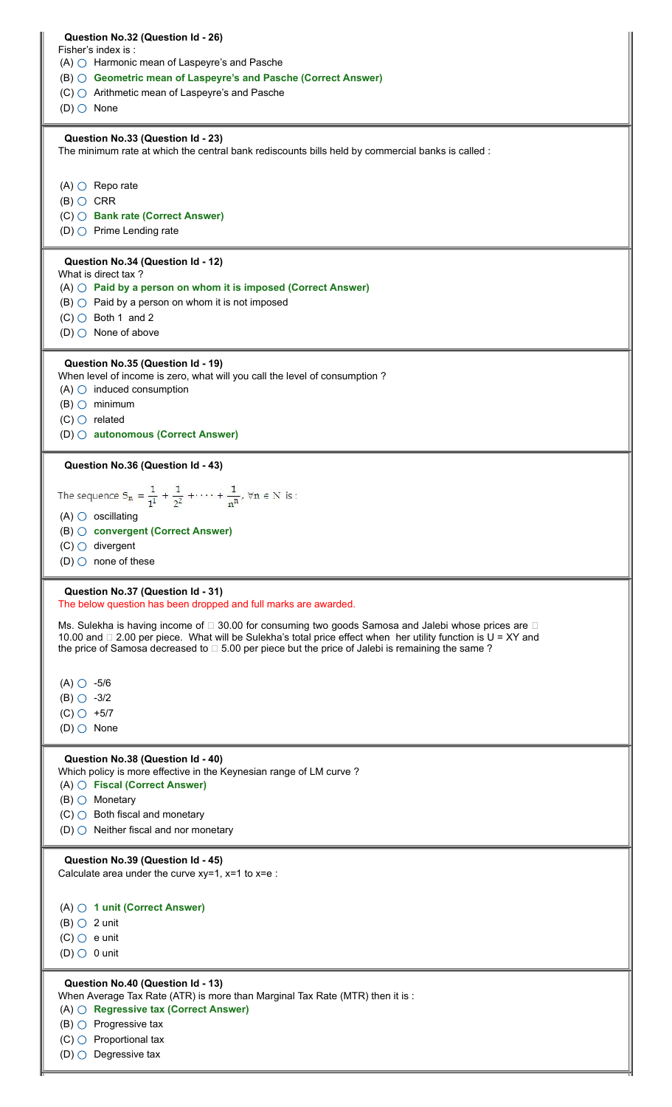|                                         | Question No.32 (Question Id - 26)                                                                                                                                                                                           |
|-----------------------------------------|-----------------------------------------------------------------------------------------------------------------------------------------------------------------------------------------------------------------------------|
|                                         | Fisher's index is:                                                                                                                                                                                                          |
|                                         | $(A)$ $\bigcirc$ Harmonic mean of Laspeyre's and Pasche                                                                                                                                                                     |
|                                         | (B) ○ Geometric mean of Laspeyre's and Pasche (Correct Answer)                                                                                                                                                              |
|                                         | $(C)$ $\bigcirc$ Arithmetic mean of Laspeyre's and Pasche                                                                                                                                                                   |
| $(D)$ $\bigcirc$ None                   |                                                                                                                                                                                                                             |
|                                         | Question No.33 (Question Id - 23)<br>The minimum rate at which the central bank rediscounts bills held by commercial banks is called :                                                                                      |
|                                         |                                                                                                                                                                                                                             |
|                                         | $(A)$ $\bigcirc$ Repo rate                                                                                                                                                                                                  |
| $(B)$ $\bigcirc$ CRR                    |                                                                                                                                                                                                                             |
|                                         | (C) ○ Bank rate (Correct Answer)                                                                                                                                                                                            |
|                                         | (D) $\bigcirc$ Prime Lending rate                                                                                                                                                                                           |
|                                         | Question No.34 (Question Id - 12)                                                                                                                                                                                           |
|                                         | What is direct tax?<br>$(A)$ $\bigcirc$ Paid by a person on whom it is imposed (Correct Answer)                                                                                                                             |
|                                         | $(B)$ $\bigcirc$ Paid by a person on whom it is not imposed                                                                                                                                                                 |
|                                         | $(C)$ Both 1 and 2                                                                                                                                                                                                          |
|                                         | (D) $\bigcirc$ None of above                                                                                                                                                                                                |
|                                         |                                                                                                                                                                                                                             |
|                                         | Question No.35 (Question Id - 19)<br>When level of income is zero, what will you call the level of consumption ?                                                                                                            |
|                                         | $(A)$ $\bigcirc$ induced consumption                                                                                                                                                                                        |
|                                         | $(B)$ $\bigcirc$ minimum                                                                                                                                                                                                    |
|                                         | $(C)$ $\bigcirc$ related                                                                                                                                                                                                    |
|                                         | (D) @ autonomous (Correct Answer)                                                                                                                                                                                           |
|                                         | Question No.36 (Question Id - 43)                                                                                                                                                                                           |
|                                         | The sequence $S_n = \frac{1}{1^1} + \frac{1}{2^2} + \cdots + \frac{1}{n^n}$ , $\forall n \in N$ is:                                                                                                                         |
|                                         |                                                                                                                                                                                                                             |
|                                         | $(A)$ $\bigcirc$ oscillating                                                                                                                                                                                                |
|                                         | (B) O convergent (Correct Answer)                                                                                                                                                                                           |
|                                         | $(C)$ divergent                                                                                                                                                                                                             |
|                                         | (D) $\bigcirc$ none of these                                                                                                                                                                                                |
|                                         | Question No.37 (Question Id - 31)                                                                                                                                                                                           |
|                                         | The below question has been dropped and full marks are awarded.                                                                                                                                                             |
|                                         | Ms. Sulekha is having income of □ 30.00 for consuming two goods Samosa and Jalebi whose prices are □                                                                                                                        |
|                                         | 10.00 and $\Box$ 2.00 per piece. What will be Sulekha's total price effect when her utility function is U = XY and<br>the price of Samosa decreased to $\Box$ 5.00 per piece but the price of Jalebi is remaining the same? |
|                                         |                                                                                                                                                                                                                             |
| $(A)$ $\circ$ -5/6                      |                                                                                                                                                                                                                             |
| $(B)$ $\circ$ -3/2                      |                                                                                                                                                                                                                             |
| $(C)$ $\circ$ +5/7                      |                                                                                                                                                                                                                             |
| $(D)$ $\bigcirc$ None                   |                                                                                                                                                                                                                             |
|                                         | Question No.38 (Question Id - 40)<br>Which policy is more effective in the Keynesian range of LM curve?                                                                                                                     |
|                                         | $(A)$ $\bigcirc$ Fiscal (Correct Answer)                                                                                                                                                                                    |
|                                         | $(B)$ $\bigcirc$ Monetary                                                                                                                                                                                                   |
|                                         | $(C)$ Both fiscal and monetary                                                                                                                                                                                              |
|                                         | (D) $\bigcirc$ Neither fiscal and nor monetary                                                                                                                                                                              |
|                                         | Question No.39 (Question Id - 45)                                                                                                                                                                                           |
|                                         | Calculate area under the curve $xy=1$ , $x=1$ to $x=e$ :                                                                                                                                                                    |
|                                         |                                                                                                                                                                                                                             |
|                                         | $(A)$ $\bigcirc$ 1 unit (Correct Answer)                                                                                                                                                                                    |
| $(B)$ $\bigcirc$ 2 unit<br>$(C)$ e unit |                                                                                                                                                                                                                             |
|                                         |                                                                                                                                                                                                                             |
|                                         |                                                                                                                                                                                                                             |
|                                         |                                                                                                                                                                                                                             |
|                                         | Question No.40 (Question Id - 13)<br>When Average Tax Rate (ATR) is more than Marginal Tax Rate (MTR) then it is :                                                                                                          |
|                                         | $(A)$ $\bigcirc$ Regressive tax (Correct Answer)                                                                                                                                                                            |
| $(D)$ $\bigcirc$ 0 unit                 | $(B)$ $\bigcirc$ Progressive tax                                                                                                                                                                                            |
|                                         | $(C)$ Proportional tax<br>(D) $\bigcirc$ Degressive tax                                                                                                                                                                     |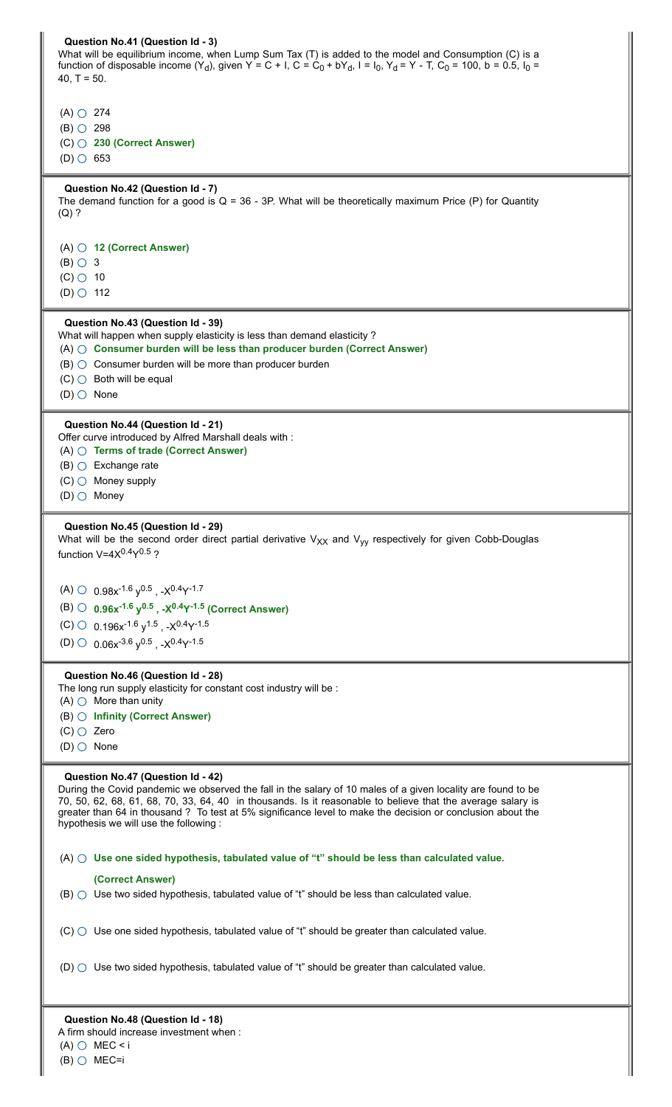| Question No.41 (Question Id - 3)<br>What will be equilibrium income, when Lump Sum Tax (T) is added to the model and Consumption (C) is a<br>function of disposable income $(Y_d)$ , given Y = C + I, C = C <sub>0</sub> + bY <sub>d</sub> , I = I <sub>0</sub> , Y <sub>d</sub> = Y - T, C <sub>0</sub> = 100, b = 0.5, I <sub>0</sub> =<br>40, $T = 50$ .                                                              |
|--------------------------------------------------------------------------------------------------------------------------------------------------------------------------------------------------------------------------------------------------------------------------------------------------------------------------------------------------------------------------------------------------------------------------|
| $(A)$ $\bigcirc$ 274<br>$(B)$ $\circ$ 298<br>$(C)$ 230 (Correct Answer)                                                                                                                                                                                                                                                                                                                                                  |
| $(D)$ 653                                                                                                                                                                                                                                                                                                                                                                                                                |
| Question No.42 (Question Id - 7)<br>The demand function for a good is $Q = 36 - 3P$ . What will be theoretically maximum Price (P) for Quantity<br>$(Q)$ ?                                                                                                                                                                                                                                                               |
| $(A)$ $\bigcirc$ 12 (Correct Answer)<br>$(B)$ $\bigcirc$ 3<br>$(C)$ 0 10                                                                                                                                                                                                                                                                                                                                                 |
| $(D)$ $\circ$ 112                                                                                                                                                                                                                                                                                                                                                                                                        |
| Question No.43 (Question Id - 39)<br>What will happen when supply elasticity is less than demand elasticity?<br>$(A)$ $\bigcirc$ Consumer burden will be less than producer burden (Correct Answer)<br>$(B)$ $\bigcirc$ Consumer burden will be more than producer burden<br>$(C)$ Both will be equal<br>$(D)$ $\bigcirc$ None                                                                                           |
| Question No.44 (Question Id - 21)<br>Offer curve introduced by Alfred Marshall deals with:<br>$(A)$ $\bigcirc$ Terms of trade (Correct Answer)<br>$(B)$ $\bigcirc$ Exchange rate<br>$(C)$ Money supply<br>$(D)$ $\bigcirc$ Money                                                                                                                                                                                         |
| Question No.45 (Question Id - 29)<br>What will be the second order direct partial derivative $V_{XX}$ and $V_{VV}$ respectively for given Cobb-Douglas<br>function $V=4X^{0.4}Y^{0.5}$ ?                                                                                                                                                                                                                                 |
| (A) $\circ$ 0.98x <sup>-1.6</sup> y <sup>0.5</sup> , -X <sup>0.4</sup> Y <sup>-1.7</sup><br>(B) $\bigcirc$ 0.96x <sup>-1.6</sup> y <sup>0.5</sup> , -X <sup>0.4</sup> Y <sup>-1.5</sup> (Correct Answer)<br>(C) $\circ$ 0.196x <sup>-1.6</sup> y <sup>1.5</sup> , -X <sup>0.4</sup> Y <sup>-1.5</sup><br>(D) $\odot$ 0.06x <sup>-3.6</sup> v <sup>0.5</sup> , -X <sup>0.4</sup> Y <sup>-1.5</sup>                        |
| Question No.46 (Question Id - 28)<br>The long run supply elasticity for constant cost industry will be :<br>$(A)$ $\bigcirc$ More than unity                                                                                                                                                                                                                                                                             |
| (B) ○ Infinity (Correct Answer)<br>$(C)$ $\bigcirc$ Zero<br>$(D)$ $\bigcirc$ None                                                                                                                                                                                                                                                                                                                                        |
| Question No.47 (Question Id - 42)<br>During the Covid pandemic we observed the fall in the salary of 10 males of a given locality are found to be<br>70, 50, 62, 68, 61, 68, 70, 33, 64, 40 in thousands. Is it reasonable to believe that the average salary is<br>greater than 64 in thousand ? To test at 5% significance level to make the decision or conclusion about the<br>hypothesis we will use the following: |
| $(A)$ $\bigcirc$ Use one sided hypothesis, tabulated value of "t" should be less than calculated value.                                                                                                                                                                                                                                                                                                                  |
| (Correct Answer)<br>$(B)$ $\bigcirc$ Use two sided hypothesis, tabulated value of "t" should be less than calculated value.                                                                                                                                                                                                                                                                                              |
| $(C)$ Use one sided hypothesis, tabulated value of "t" should be greater than calculated value.                                                                                                                                                                                                                                                                                                                          |
| (D) $\bigcirc$ Use two sided hypothesis, tabulated value of "t" should be greater than calculated value.                                                                                                                                                                                                                                                                                                                 |
| Question No.48 (Question Id - 18)<br>A firm should increase investment when :                                                                                                                                                                                                                                                                                                                                            |

I